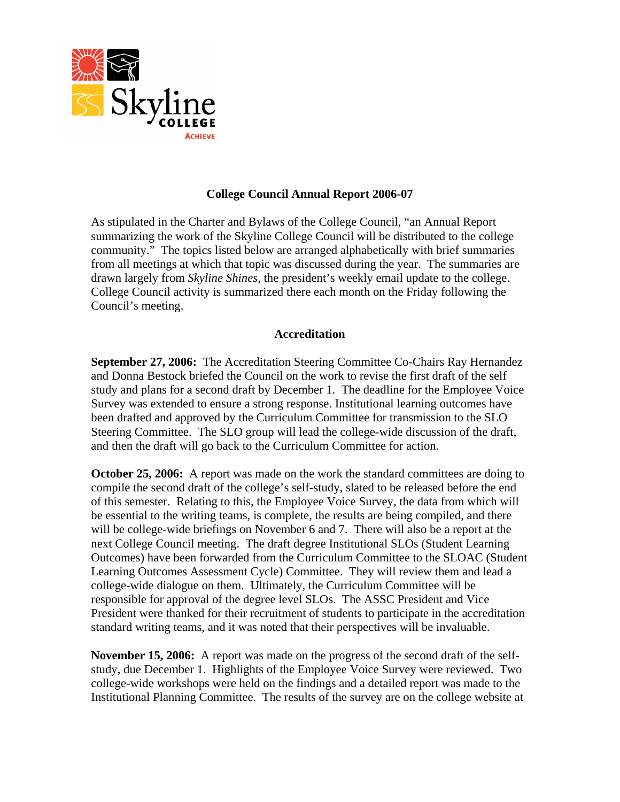

# **College Council Annual Report 2006-07**

As stipulated in the Charter and Bylaws of the College Council, "an Annual Report summarizing the work of the Skyline College Council will be distributed to the college community." The topics listed below are arranged alphabetically with brief summaries from all meetings at which that topic was discussed during the year. The summaries are drawn largely from *Skyline Shines*, the president's weekly email update to the college. College Council activity is summarized there each month on the Friday following the Council's meeting.

### **Accreditation**

**September 27, 2006:** The Accreditation Steering Committee Co-Chairs Ray Hernandez and Donna Bestock briefed the Council on the work to revise the first draft of the self study and plans for a second draft by December 1. The deadline for the Employee Voice Survey was extended to ensure a strong response. Institutional learning outcomes have been drafted and approved by the Curriculum Committee for transmission to the SLO Steering Committee. The SLO group will lead the college-wide discussion of the draft, and then the draft will go back to the Curriculum Committee for action.

**October 25, 2006:** A report was made on the work the standard committees are doing to compile the second draft of the college's self-study, slated to be released before the end of this semester. Relating to this, the Employee Voice Survey, the data from which will be essential to the writing teams, is complete, the results are being compiled, and there will be college-wide briefings on November 6 and 7. There will also be a report at the next College Council meeting. The draft degree Institutional SLOs (Student Learning Outcomes) have been forwarded from the Curriculum Committee to the SLOAC (Student Learning Outcomes Assessment Cycle) Committee. They will review them and lead a college-wide dialogue on them. Ultimately, the Curriculum Committee will be responsible for approval of the degree level SLOs. The ASSC President and Vice President were thanked for their recruitment of students to participate in the accreditation standard writing teams, and it was noted that their perspectives will be invaluable.

**November 15, 2006:** A report was made on the progress of the second draft of the selfstudy, due December 1. Highlights of the Employee Voice Survey were reviewed. Two college-wide workshops were held on the findings and a detailed report was made to the Institutional Planning Committee. The results of the survey are on the college website at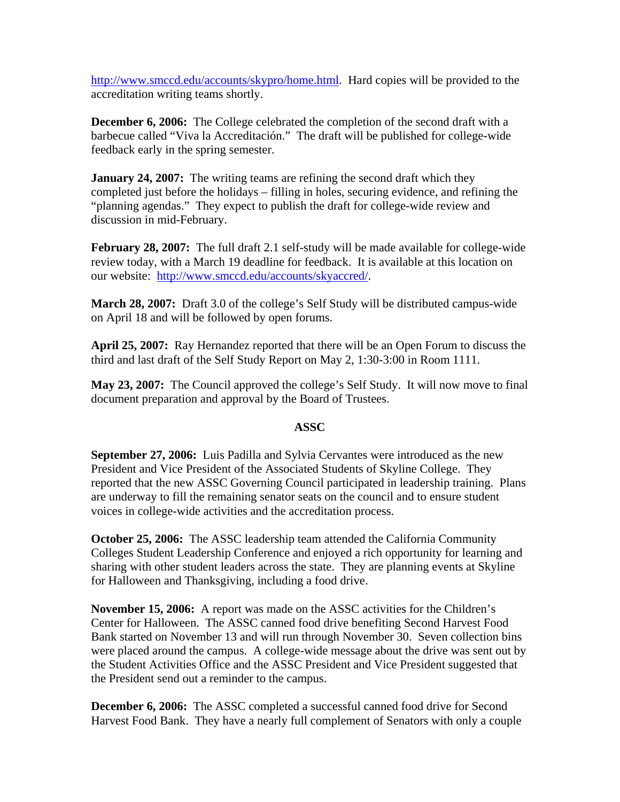http://www.smccd.edu/accounts/skypro/home.html. Hard copies will be provided to the accreditation writing teams shortly.

**December 6, 2006:** The College celebrated the completion of the second draft with a barbecue called "Viva la Accreditación." The draft will be published for college-wide feedback early in the spring semester.

**January 24, 2007:** The writing teams are refining the second draft which they completed just before the holidays – filling in holes, securing evidence, and refining the "planning agendas." They expect to publish the draft for college-wide review and discussion in mid-February.

**February 28, 2007:** The full draft 2.1 self-study will be made available for college-wide review today, with a March 19 deadline for feedback. It is available at this location on our website: http://www.smccd.edu/accounts/skyaccred/.

**March 28, 2007:** Draft 3.0 of the college's Self Study will be distributed campus-wide on April 18 and will be followed by open forums.

**April 25, 2007:** Ray Hernandez reported that there will be an Open Forum to discuss the third and last draft of the Self Study Report on May 2, 1:30-3:00 in Room 1111.

**May 23, 2007:** The Council approved the college's Self Study. It will now move to final document preparation and approval by the Board of Trustees.

# **ASSC**

**September 27, 2006:** Luis Padilla and Sylvia Cervantes were introduced as the new President and Vice President of the Associated Students of Skyline College. They reported that the new ASSC Governing Council participated in leadership training. Plans are underway to fill the remaining senator seats on the council and to ensure student voices in college-wide activities and the accreditation process.

**October 25, 2006:** The ASSC leadership team attended the California Community Colleges Student Leadership Conference and enjoyed a rich opportunity for learning and sharing with other student leaders across the state.They are planning events at Skyline for Halloween and Thanksgiving, including a food drive.

**November 15, 2006:** A report was made on the ASSC activities for the Children's Center for Halloween. The ASSC canned food drive benefiting Second Harvest Food Bank started on November 13 and will run through November 30. Seven collection bins were placed around the campus. A college-wide message about the drive was sent out by the Student Activities Office and the ASSC President and Vice President suggested that the President send out a reminder to the campus.

**December 6, 2006:** The ASSC completed a successful canned food drive for Second Harvest Food Bank. They have a nearly full complement of Senators with only a couple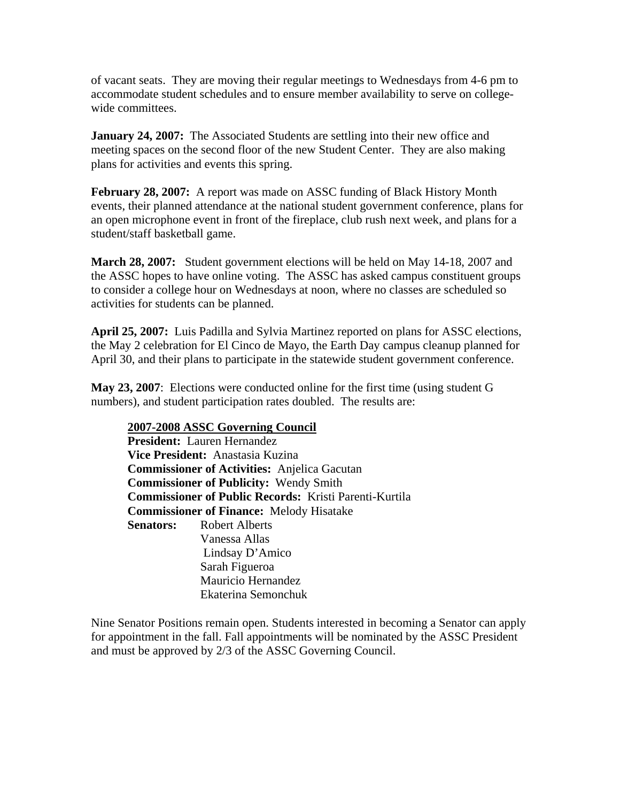of vacant seats. They are moving their regular meetings to Wednesdays from 4-6 pm to accommodate student schedules and to ensure member availability to serve on collegewide committees.

**January 24, 2007:** The Associated Students are settling into their new office and meeting spaces on the second floor of the new Student Center. They are also making plans for activities and events this spring.

**February 28, 2007:** A report was made on ASSC funding of Black History Month events, their planned attendance at the national student government conference, plans for an open microphone event in front of the fireplace, club rush next week, and plans for a student/staff basketball game.

**March 28, 2007:** Student government elections will be held on May 14-18, 2007 and the ASSC hopes to have online voting. The ASSC has asked campus constituent groups to consider a college hour on Wednesdays at noon, where no classes are scheduled so activities for students can be planned.

**April 25, 2007:** Luis Padilla and Sylvia Martinez reported on plans for ASSC elections, the May 2 celebration for El Cinco de Mayo, the Earth Day campus cleanup planned for April 30, and their plans to participate in the statewide student government conference.

**May 23, 2007**: Elections were conducted online for the first time (using student G numbers), and student participation rates doubled. The results are:

**2007-2008 ASSC Governing Council President:** Lauren Hernandez **Vice President:** Anastasia Kuzina **Commissioner of Activities:** Anjelica Gacutan **Commissioner of Publicity:** Wendy Smith **Commissioner of Public Records:** Kristi Parenti-Kurtila **Commissioner of Finance:** Melody Hisatake **Senators:** Robert Alberts Vanessa Allas Lindsay D'Amico Sarah Figueroa Mauricio Hernandez Ekaterina Semonchuk

Nine Senator Positions remain open. Students interested in becoming a Senator can apply for appointment in the fall. Fall appointments will be nominated by the ASSC President and must be approved by 2/3 of the ASSC Governing Council.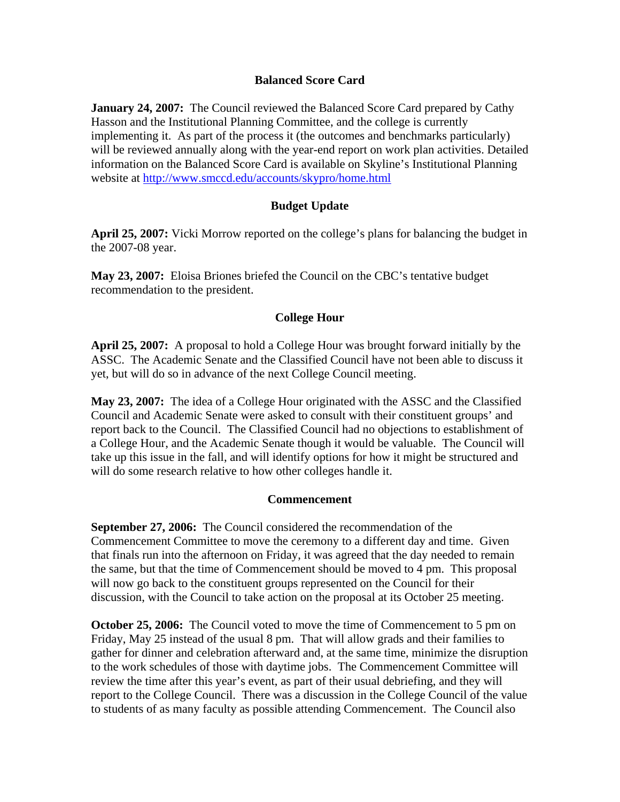# **Balanced Score Card**

**January 24, 2007:** The Council reviewed the Balanced Score Card prepared by Cathy Hasson and the Institutional Planning Committee, and the college is currently implementing it. As part of the process it (the outcomes and benchmarks particularly) will be reviewed annually along with the year-end report on work plan activities. Detailed information on the Balanced Score Card is available on Skyline's Institutional Planning website at http://www.smccd.edu/accounts/skypro/home.html

# **Budget Update**

**April 25, 2007:** Vicki Morrow reported on the college's plans for balancing the budget in the 2007-08 year.

**May 23, 2007:** Eloisa Briones briefed the Council on the CBC's tentative budget recommendation to the president.

# **College Hour**

**April 25, 2007:** A proposal to hold a College Hour was brought forward initially by the ASSC. The Academic Senate and the Classified Council have not been able to discuss it yet, but will do so in advance of the next College Council meeting.

**May 23, 2007:** The idea of a College Hour originated with the ASSC and the Classified Council and Academic Senate were asked to consult with their constituent groups' and report back to the Council. The Classified Council had no objections to establishment of a College Hour, and the Academic Senate though it would be valuable. The Council will take up this issue in the fall, and will identify options for how it might be structured and will do some research relative to how other colleges handle it.

### **Commencement**

**September 27, 2006:** The Council considered the recommendation of the Commencement Committee to move the ceremony to a different day and time. Given that finals run into the afternoon on Friday, it was agreed that the day needed to remain the same, but that the time of Commencement should be moved to 4 pm. This proposal will now go back to the constituent groups represented on the Council for their discussion, with the Council to take action on the proposal at its October 25 meeting.

**October 25, 2006:** The Council voted to move the time of Commencement to 5 pm on Friday, May 25 instead of the usual 8 pm. That will allow grads and their families to gather for dinner and celebration afterward and, at the same time, minimize the disruption to the work schedules of those with daytime jobs. The Commencement Committee will review the time after this year's event, as part of their usual debriefing, and they will report to the College Council. There was a discussion in the College Council of the value to students of as many faculty as possible attending Commencement. The Council also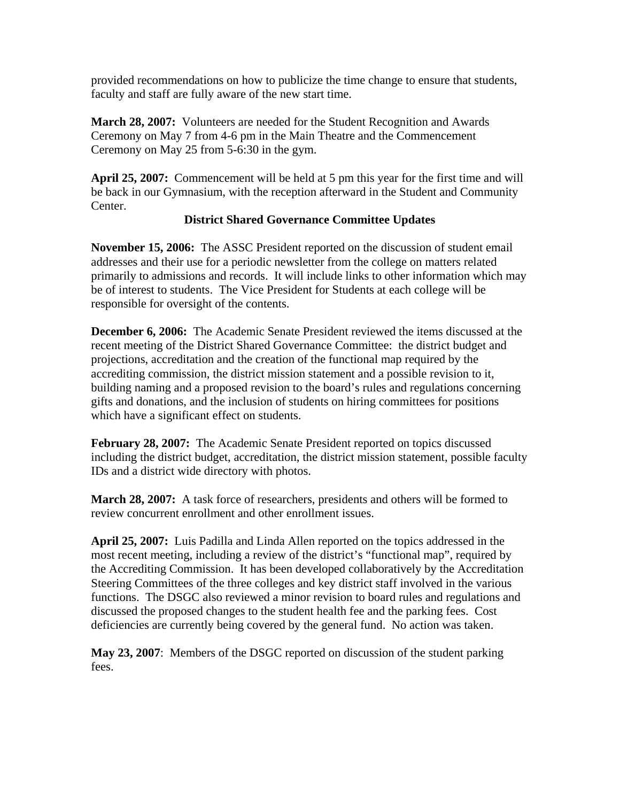provided recommendations on how to publicize the time change to ensure that students, faculty and staff are fully aware of the new start time.

**March 28, 2007:** Volunteers are needed for the Student Recognition and Awards Ceremony on May 7 from 4-6 pm in the Main Theatre and the Commencement Ceremony on May 25 from 5-6:30 in the gym.

**April 25, 2007:** Commencement will be held at 5 pm this year for the first time and will be back in our Gymnasium, with the reception afterward in the Student and Community Center.

# **District Shared Governance Committee Updates**

**November 15, 2006:** The ASSC President reported on the discussion of student email addresses and their use for a periodic newsletter from the college on matters related primarily to admissions and records. It will include links to other information which may be of interest to students. The Vice President for Students at each college will be responsible for oversight of the contents.

**December 6, 2006:** The Academic Senate President reviewed the items discussed at the recent meeting of the District Shared Governance Committee: the district budget and projections, accreditation and the creation of the functional map required by the accrediting commission, the district mission statement and a possible revision to it, building naming and a proposed revision to the board's rules and regulations concerning gifts and donations, and the inclusion of students on hiring committees for positions which have a significant effect on students.

**February 28, 2007:** The Academic Senate President reported on topics discussed including the district budget, accreditation, the district mission statement, possible faculty IDs and a district wide directory with photos.

**March 28, 2007:** A task force of researchers, presidents and others will be formed to review concurrent enrollment and other enrollment issues.

**April 25, 2007:** Luis Padilla and Linda Allen reported on the topics addressed in the most recent meeting, including a review of the district's "functional map", required by the Accrediting Commission. It has been developed collaboratively by the Accreditation Steering Committees of the three colleges and key district staff involved in the various functions. The DSGC also reviewed a minor revision to board rules and regulations and discussed the proposed changes to the student health fee and the parking fees. Cost deficiencies are currently being covered by the general fund. No action was taken.

**May 23, 2007**: Members of the DSGC reported on discussion of the student parking fees.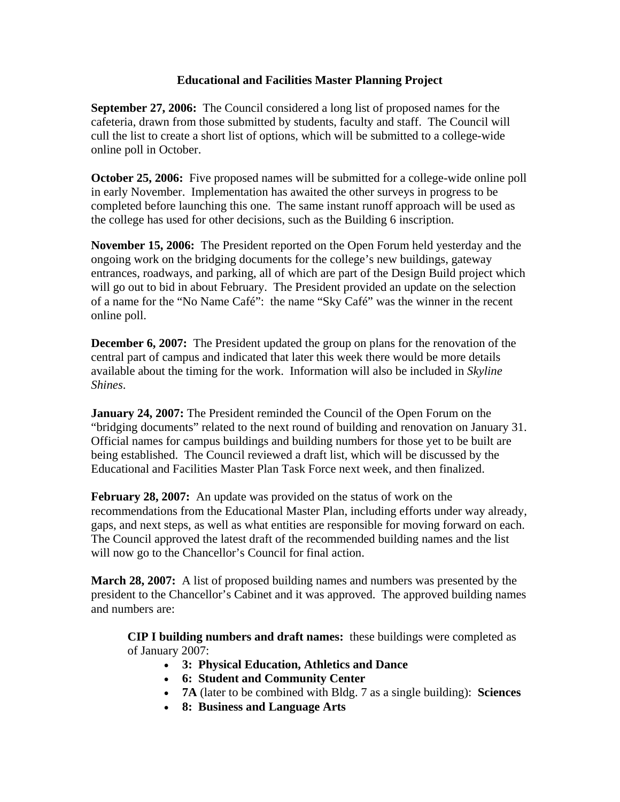# **Educational and Facilities Master Planning Project**

**September 27, 2006:** The Council considered a long list of proposed names for the cafeteria, drawn from those submitted by students, faculty and staff. The Council will cull the list to create a short list of options, which will be submitted to a college-wide online poll in October.

**October 25, 2006:** Five proposed names will be submitted for a college-wide online poll in early November. Implementation has awaited the other surveys in progress to be completed before launching this one. The same instant runoff approach will be used as the college has used for other decisions, such as the Building 6 inscription.

**November 15, 2006:** The President reported on the Open Forum held yesterday and the ongoing work on the bridging documents for the college's new buildings, gateway entrances, roadways, and parking, all of which are part of the Design Build project which will go out to bid in about February. The President provided an update on the selection of a name for the "No Name Café": the name "Sky Café" was the winner in the recent online poll.

**December 6, 2007:** The President updated the group on plans for the renovation of the central part of campus and indicated that later this week there would be more details available about the timing for the work. Information will also be included in *Skyline Shines*.

**January 24, 2007:** The President reminded the Council of the Open Forum on the "bridging documents" related to the next round of building and renovation on January 31. Official names for campus buildings and building numbers for those yet to be built are being established. The Council reviewed a draft list, which will be discussed by the Educational and Facilities Master Plan Task Force next week, and then finalized.

**February 28, 2007:** An update was provided on the status of work on the recommendations from the Educational Master Plan, including efforts under way already, gaps, and next steps, as well as what entities are responsible for moving forward on each. The Council approved the latest draft of the recommended building names and the list will now go to the Chancellor's Council for final action.

**March 28, 2007:** A list of proposed building names and numbers was presented by the president to the Chancellor's Cabinet and it was approved. The approved building names and numbers are:

**CIP I building numbers and draft names:** these buildings were completed as of January 2007:

- **3: Physical Education, Athletics and Dance**
- **6: Student and Community Center**
- **7A** (later to be combined with Bldg. 7 as a single building): **Sciences**
- **8: Business and Language Arts**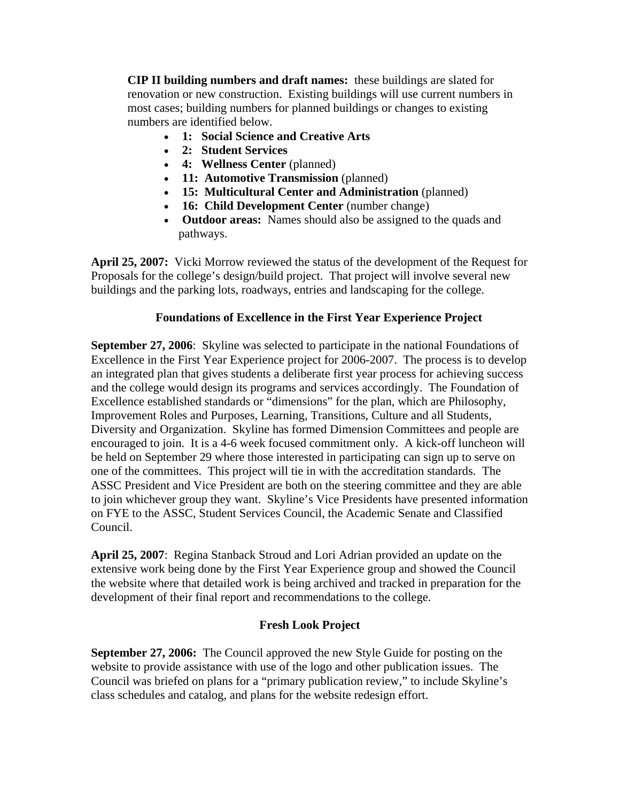**CIP II building numbers and draft names:** these buildings are slated for renovation or new construction. Existing buildings will use current numbers in most cases; building numbers for planned buildings or changes to existing numbers are identified below.

- **1: Social Science and Creative Arts**
- **2: Student Services**
- **4: Wellness Center** (planned)
- **11: Automotive Transmission** (planned)
- **15: Multicultural Center and Administration** (planned)
- **16: Child Development Center** (number change)
- **Outdoor areas:** Names should also be assigned to the quads and pathways.

**April 25, 2007:** Vicki Morrow reviewed the status of the development of the Request for Proposals for the college's design/build project. That project will involve several new buildings and the parking lots, roadways, entries and landscaping for the college.

# **Foundations of Excellence in the First Year Experience Project**

**September 27, 2006:** Skyline was selected to participate in the national Foundations of Excellence in the First Year Experience project for 2006-2007. The process is to develop an integrated plan that gives students a deliberate first year process for achieving success and the college would design its programs and services accordingly. The Foundation of Excellence established standards or "dimensions" for the plan, which are Philosophy, Improvement Roles and Purposes, Learning, Transitions, Culture and all Students, Diversity and Organization. Skyline has formed Dimension Committees and people are encouraged to join. It is a 4-6 week focused commitment only. A kick-off luncheon will be held on September 29 where those interested in participating can sign up to serve on one of the committees. This project will tie in with the accreditation standards. The ASSC President and Vice President are both on the steering committee and they are able to join whichever group they want. Skyline's Vice Presidents have presented information on FYE to the ASSC, Student Services Council, the Academic Senate and Classified Council.

**April 25, 2007**: Regina Stanback Stroud and Lori Adrian provided an update on the extensive work being done by the First Year Experience group and showed the Council the website where that detailed work is being archived and tracked in preparation for the development of their final report and recommendations to the college.

### **Fresh Look Project**

**September 27, 2006:** The Council approved the new Style Guide for posting on the website to provide assistance with use of the logo and other publication issues. The Council was briefed on plans for a "primary publication review," to include Skyline's class schedules and catalog, and plans for the website redesign effort.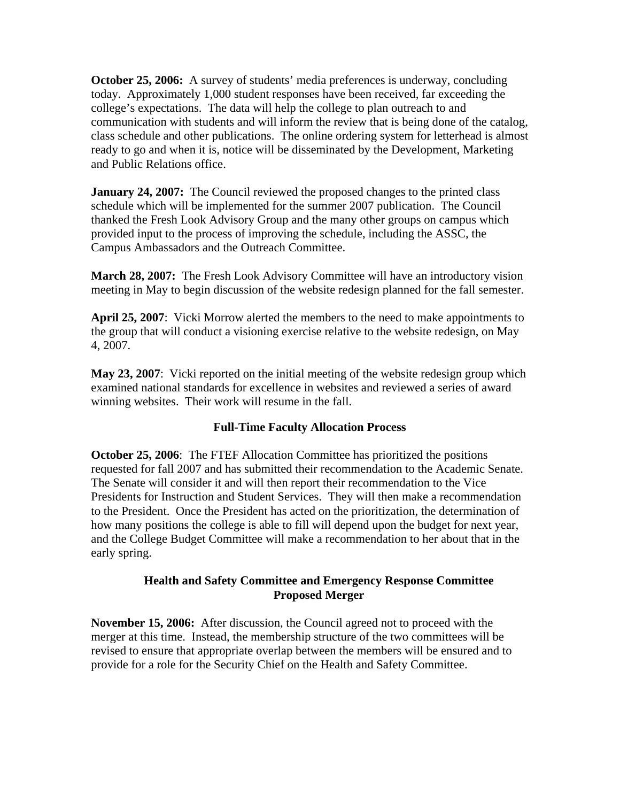**October 25, 2006:** A survey of students' media preferences is underway, concluding today. Approximately 1,000 student responses have been received, far exceeding the college's expectations. The data will help the college to plan outreach to and communication with students and will inform the review that is being done of the catalog, class schedule and other publications. The online ordering system for letterhead is almost ready to go and when it is, notice will be disseminated by the Development, Marketing and Public Relations office.

**January 24, 2007:** The Council reviewed the proposed changes to the printed class schedule which will be implemented for the summer 2007 publication. The Council thanked the Fresh Look Advisory Group and the many other groups on campus which provided input to the process of improving the schedule, including the ASSC, the Campus Ambassadors and the Outreach Committee.

**March 28, 2007:** The Fresh Look Advisory Committee will have an introductory vision meeting in May to begin discussion of the website redesign planned for the fall semester.

**April 25, 2007**: Vicki Morrow alerted the members to the need to make appointments to the group that will conduct a visioning exercise relative to the website redesign, on May 4, 2007.

**May 23, 2007**: Vicki reported on the initial meeting of the website redesign group which examined national standards for excellence in websites and reviewed a series of award winning websites. Their work will resume in the fall.

# **Full-Time Faculty Allocation Process**

**October 25, 2006**: The FTEF Allocation Committee has prioritized the positions requested for fall 2007 and has submitted their recommendation to the Academic Senate. The Senate will consider it and will then report their recommendation to the Vice Presidents for Instruction and Student Services. They will then make a recommendation to the President. Once the President has acted on the prioritization, the determination of how many positions the college is able to fill will depend upon the budget for next year, and the College Budget Committee will make a recommendation to her about that in the early spring.

# **Health and Safety Committee and Emergency Response Committee Proposed Merger**

**November 15, 2006:** After discussion, the Council agreed not to proceed with the merger at this time. Instead, the membership structure of the two committees will be revised to ensure that appropriate overlap between the members will be ensured and to provide for a role for the Security Chief on the Health and Safety Committee.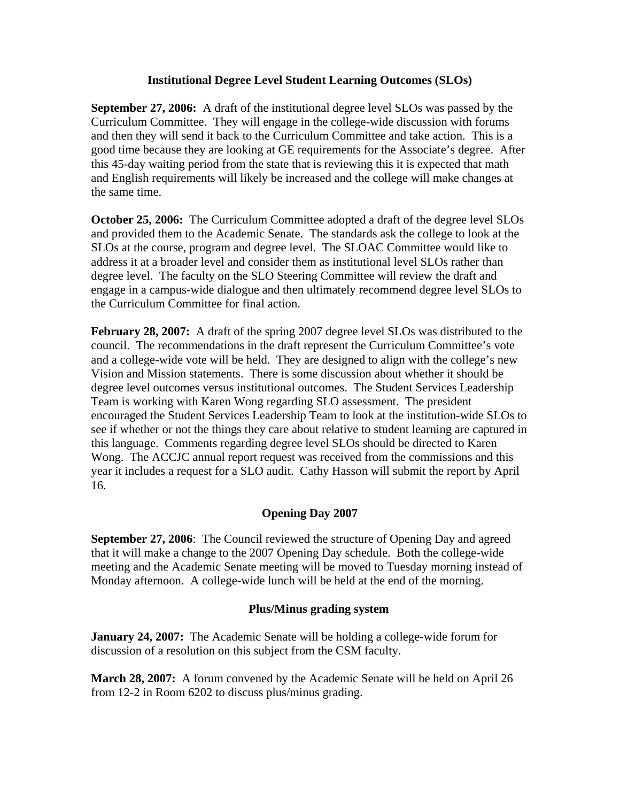## **Institutional Degree Level Student Learning Outcomes (SLOs)**

**September 27, 2006:** A draft of the institutional degree level SLOs was passed by the Curriculum Committee. They will engage in the college-wide discussion with forums and then they will send it back to the Curriculum Committee and take action. This is a good time because they are looking at GE requirements for the Associate's degree. After this 45-day waiting period from the state that is reviewing this it is expected that math and English requirements will likely be increased and the college will make changes at the same time.

**October 25, 2006:** The Curriculum Committee adopted a draft of the degree level SLOs and provided them to the Academic Senate. The standards ask the college to look at the SLOs at the course, program and degree level. The SLOAC Committee would like to address it at a broader level and consider them as institutional level SLOs rather than degree level. The faculty on the SLO Steering Committee will review the draft and engage in a campus-wide dialogue and then ultimately recommend degree level SLOs to the Curriculum Committee for final action.

**February 28, 2007:** A draft of the spring 2007 degree level SLOs was distributed to the council. The recommendations in the draft represent the Curriculum Committee's vote and a college-wide vote will be held. They are designed to align with the college's new Vision and Mission statements. There is some discussion about whether it should be degree level outcomes versus institutional outcomes. The Student Services Leadership Team is working with Karen Wong regarding SLO assessment. The president encouraged the Student Services Leadership Team to look at the institution-wide SLOs to see if whether or not the things they care about relative to student learning are captured in this language. Comments regarding degree level SLOs should be directed to Karen Wong. The ACCJC annual report request was received from the commissions and this year it includes a request for a SLO audit. Cathy Hasson will submit the report by April 16.

# **Opening Day 2007**

**September 27, 2006:** The Council reviewed the structure of Opening Day and agreed that it will make a change to the 2007 Opening Day schedule. Both the college-wide meeting and the Academic Senate meeting will be moved to Tuesday morning instead of Monday afternoon. A college-wide lunch will be held at the end of the morning.

### **Plus/Minus grading system**

**January 24, 2007:** The Academic Senate will be holding a college-wide forum for discussion of a resolution on this subject from the CSM faculty.

**March 28, 2007:** A forum convened by the Academic Senate will be held on April 26 from 12-2 in Room 6202 to discuss plus/minus grading.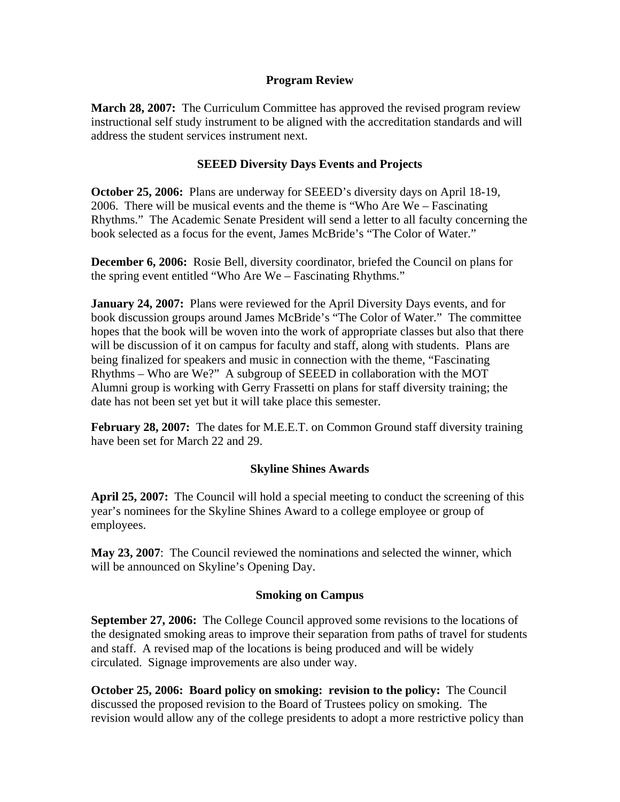## **Program Review**

**March 28, 2007:** The Curriculum Committee has approved the revised program review instructional self study instrument to be aligned with the accreditation standards and will address the student services instrument next.

# **SEEED Diversity Days Events and Projects**

**October 25, 2006:** Plans are underway for SEEED's diversity days on April 18-19, 2006. There will be musical events and the theme is "Who Are We – Fascinating Rhythms." The Academic Senate President will send a letter to all faculty concerning the book selected as a focus for the event, James McBride's "The Color of Water."

**December 6, 2006:** Rosie Bell, diversity coordinator, briefed the Council on plans for the spring event entitled "Who Are We – Fascinating Rhythms."

**January 24, 2007:** Plans were reviewed for the April Diversity Days events, and for book discussion groups around James McBride's "The Color of Water." The committee hopes that the book will be woven into the work of appropriate classes but also that there will be discussion of it on campus for faculty and staff, along with students. Plans are being finalized for speakers and music in connection with the theme, "Fascinating Rhythms – Who are We?" A subgroup of SEEED in collaboration with the MOT Alumni group is working with Gerry Frassetti on plans for staff diversity training; the date has not been set yet but it will take place this semester.

**February 28, 2007:** The dates for M.E.E.T. on Common Ground staff diversity training have been set for March 22 and 29.

### **Skyline Shines Awards**

**April 25, 2007:** The Council will hold a special meeting to conduct the screening of this year's nominees for the Skyline Shines Award to a college employee or group of employees.

**May 23, 2007**: The Council reviewed the nominations and selected the winner, which will be announced on Skyline's Opening Day.

### **Smoking on Campus**

**September 27, 2006:** The College Council approved some revisions to the locations of the designated smoking areas to improve their separation from paths of travel for students and staff. A revised map of the locations is being produced and will be widely circulated. Signage improvements are also under way.

**October 25, 2006: Board policy on smoking: revision to the policy:** The Council discussed the proposed revision to the Board of Trustees policy on smoking. The revision would allow any of the college presidents to adopt a more restrictive policy than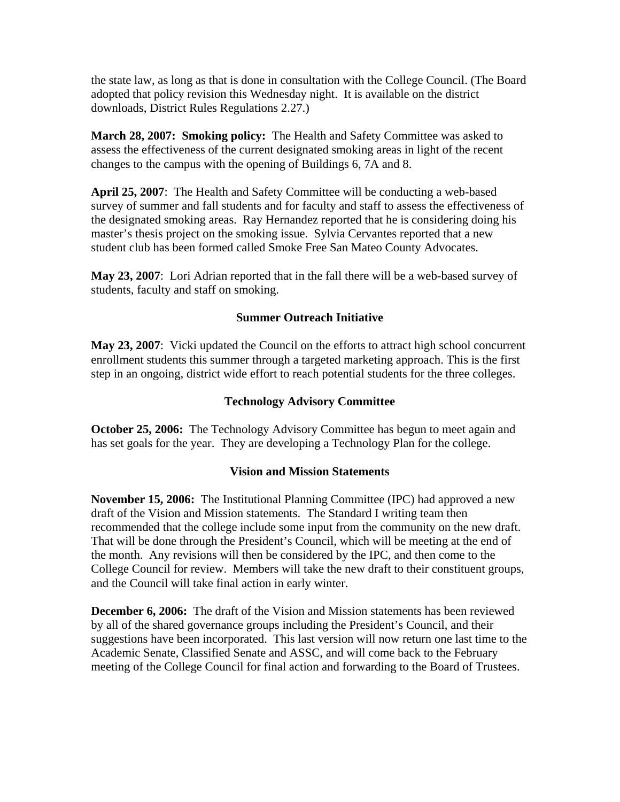the state law, as long as that is done in consultation with the College Council. (The Board adopted that policy revision this Wednesday night. It is available on the district downloads, District Rules Regulations 2.27.)

**March 28, 2007: Smoking policy:** The Health and Safety Committee was asked to assess the effectiveness of the current designated smoking areas in light of the recent changes to the campus with the opening of Buildings 6, 7A and 8.

**April 25, 2007**: The Health and Safety Committee will be conducting a web-based survey of summer and fall students and for faculty and staff to assess the effectiveness of the designated smoking areas. Ray Hernandez reported that he is considering doing his master's thesis project on the smoking issue. Sylvia Cervantes reported that a new student club has been formed called Smoke Free San Mateo County Advocates.

**May 23, 2007**: Lori Adrian reported that in the fall there will be a web-based survey of students, faculty and staff on smoking.

### **Summer Outreach Initiative**

**May 23, 2007**: Vicki updated the Council on the efforts to attract high school concurrent enrollment students this summer through a targeted marketing approach. This is the first step in an ongoing, district wide effort to reach potential students for the three colleges.

## **Technology Advisory Committee**

**October 25, 2006:** The Technology Advisory Committee has begun to meet again and has set goals for the year. They are developing a Technology Plan for the college.

### **Vision and Mission Statements**

**November 15, 2006:** The Institutional Planning Committee (IPC) had approved a new draft of the Vision and Mission statements. The Standard I writing team then recommended that the college include some input from the community on the new draft. That will be done through the President's Council, which will be meeting at the end of the month. Any revisions will then be considered by the IPC, and then come to the College Council for review. Members will take the new draft to their constituent groups, and the Council will take final action in early winter.

**December 6, 2006:** The draft of the Vision and Mission statements has been reviewed by all of the shared governance groups including the President's Council, and their suggestions have been incorporated. This last version will now return one last time to the Academic Senate, Classified Senate and ASSC, and will come back to the February meeting of the College Council for final action and forwarding to the Board of Trustees.